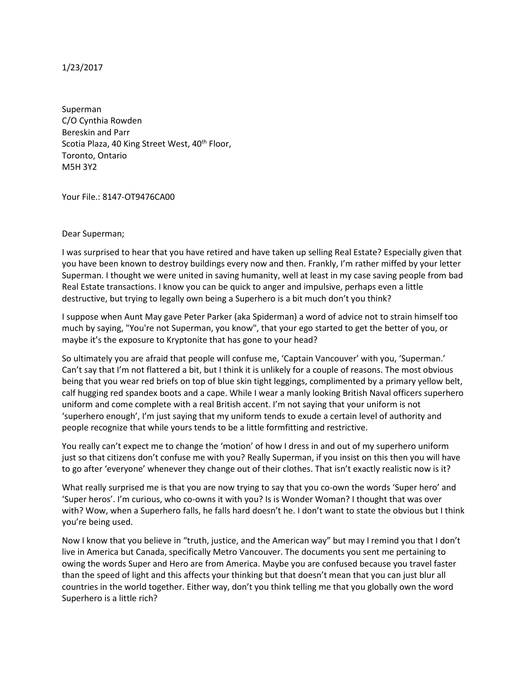## 1/23/2017

Superman C/O Cynthia Rowden Bereskin and Parr Scotia Plaza, 40 King Street West, 40<sup>th</sup> Floor, Toronto, Ontario M5H 3Y2

Your File.: 8147-OT9476CA00

## Dear Superman;

I was surprised to hear that you have retired and have taken up selling Real Estate? Especially given that you have been known to destroy buildings every now and then. Frankly, I'm rather miffed by your letter Superman. I thought we were united in saving humanity, well at least in my case saving people from bad Real Estate transactions. I know you can be quick to anger and impulsive, perhaps even a little destructive, but trying to legally own being a Superhero is a bit much don't you think?

I suppose when Aunt May gave Peter Parker (aka Spiderman) a word of advice not to strain himself too much by saying, "You're not Superman, you know", that your ego started to get the better of you, or maybe it's the exposure to Kryptonite that has gone to your head?

So ultimately you are afraid that people will confuse me, 'Captain Vancouver' with you, 'Superman.' Can't say that I'm not flattered a bit, but I think it is unlikely for a couple of reasons. The most obvious being that you wear red briefs on top of blue skin tight leggings, complimented by a primary yellow belt, calf hugging red spandex boots and a cape. While I wear a manly looking British Naval officers superhero uniform and come complete with a real British accent. I'm not saying that your uniform is not 'superhero enough', I'm just saying that my uniform tends to exude a certain level of authority and people recognize that while yours tends to be a little formfitting and restrictive.

You really can't expect me to change the 'motion' of how I dress in and out of my superhero uniform just so that citizens don't confuse me with you? Really Superman, if you insist on this then you will have to go after 'everyone' whenever they change out of their clothes. That isn't exactly realistic now is it?

What really surprised me is that you are now trying to say that you co-own the words 'Super hero' and 'Super heros'. I'm curious, who co-owns it with you? Is is Wonder Woman? I thought that was over with? Wow, when a Superhero falls, he falls hard doesn't he. I don't want to state the obvious but I think you're being used.

Now I know that you believe in "truth, justice, and the American way" but may I remind you that I don't live in America but Canada, specifically Metro Vancouver. The documents you sent me pertaining to owing the words Super and Hero are from America. Maybe you are confused because you travel faster than the speed of light and this affects your thinking but that doesn't mean that you can just blur all countries in the world together. Either way, don't you think telling me that you globally own the word Superhero is a little rich?